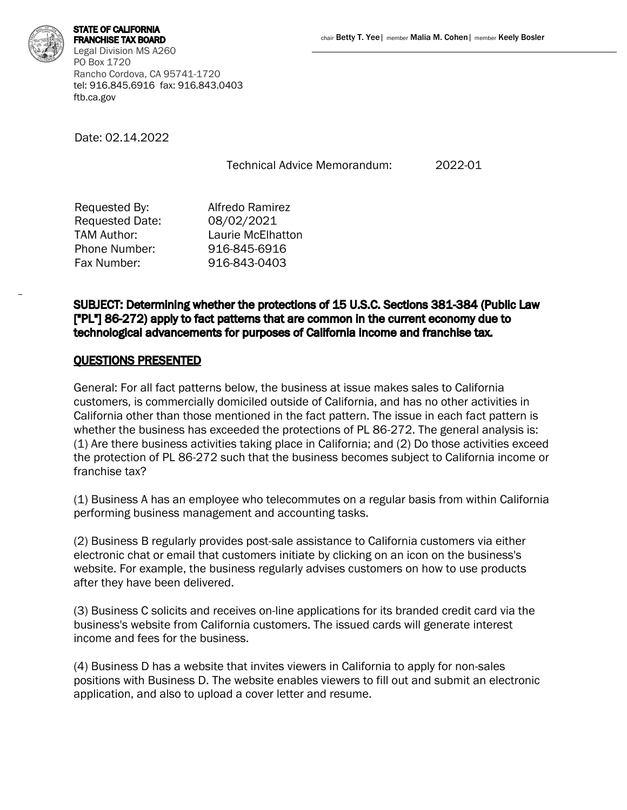FRANCHISE TAX BOARD Legal Division MS A260 PO Box 1720 Rancho Cordova, CA 95741-1720 tel: 916.845.6916 fax: 916.843.0403 ftb.ca.gov

Date: 02.14.2022

Technical Advice Memorandum: 2022-01

| Requested By:   | Alfredo Ramirez   |
|-----------------|-------------------|
| Requested Date: | 08/02/2021        |
| TAM Author:     | Laurie McElhatton |
| Phone Number:   | 916-845-6916      |
| Fax Number:     | 916-843-0403      |
|                 |                   |

SUBJECT: Determining whether the protections of 15 U.S.C. Sections 381-384 (Public Law ["PL"] 86-272) apply to fact patterns that are common in the current economy due to technological advancements for purposes of California income and franchise tax.

## QUESTIONS PRESENTED

General: For all fact patterns below, the business at issue makes sales to California customers, is commercially domiciled outside of California, and has no other activities in California other than those mentioned in the fact pattern. The issue in each fact pattern is whether the business has exceeded the protections of PL 86-272. The general analysis is: (1) Are there business activities taking place in California; and (2) Do those activities exceed the protection of PL 86-272 such that the business becomes subject to California income or franchise tax?

(1) Business A has an employee who telecommutes on a regular basis from within California performing business management and accounting tasks.

(2) Business B regularly provides post-sale assistance to California customers via either electronic chat or email that customers initiate by clicking on an icon on the business's website. For example, the business regularly advises customers on how to use products after they have been delivered.

(3) Business C solicits and receives on-line applications for its branded credit card via the business's website from California customers. The issued cards will generate interest income and fees for the business.

(4) Business D has a website that invites viewers in California to apply for non-sales positions with Business D. The website enables viewers to fill out and submit an electronic application, and also to upload a cover letter and resume.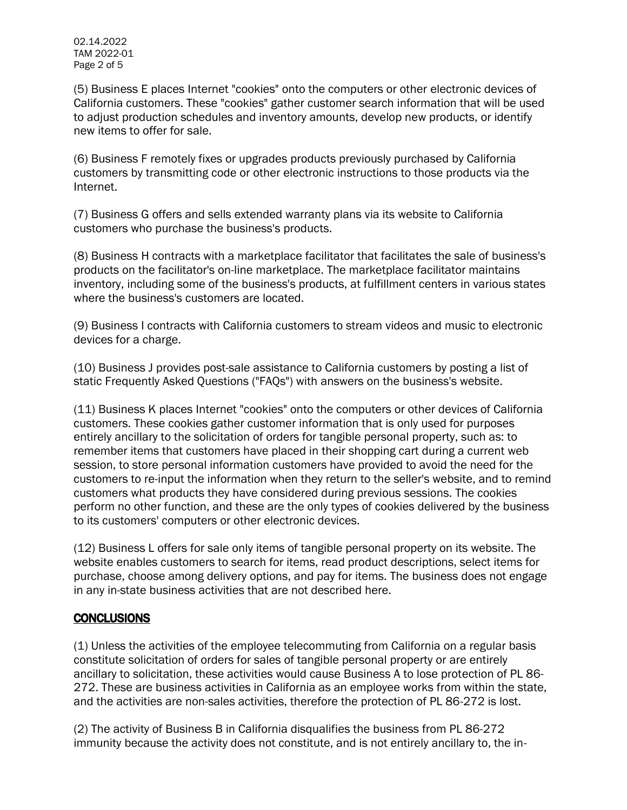(5) Business E places Internet "cookies" onto the computers or other electronic devices of California customers. These "cookies" gather customer search information that will be used to adjust production schedules and inventory amounts, develop new products, or identify new items to offer for sale.

(6) Business F remotely fixes or upgrades products previously purchased by California customers by transmitting code or other electronic instructions to those products via the Internet.

(7) Business G offers and sells extended warranty plans via its website to California customers who purchase the business's products.

(8) Business H contracts with a marketplace facilitator that facilitates the sale of business's products on the facilitator's on-line marketplace. The marketplace facilitator maintains inventory, including some of the business's products, at fulfillment centers in various states where the business's customers are located.

(9) Business I contracts with California customers to stream videos and music to electronic devices for a charge.

(10) Business J provides post-sale assistance to California customers by posting a list of static Frequently Asked Questions ("FAQs") with answers on the business's website.

(11) Business K places Internet "cookies" onto the computers or other devices of California customers. These cookies gather customer information that is only used for purposes entirely ancillary to the solicitation of orders for tangible personal property, such as: to remember items that customers have placed in their shopping cart during a current web session, to store personal information customers have provided to avoid the need for the customers to re-input the information when they return to the seller's website, and to remind customers what products they have considered during previous sessions. The cookies perform no other function, and these are the only types of cookies delivered by the business to its customers' computers or other electronic devices.

(12) Business L offers for sale only items of tangible personal property on its website. The website enables customers to search for items, read product descriptions, select items for purchase, choose among delivery options, and pay for items. The business does not engage in any in-state business activities that are not described here.

## CONCLUSIONS

(1) Unless the activities of the employee telecommuting from California on a regular basis constitute solicitation of orders for sales of tangible personal property or are entirely ancillary to solicitation, these activities would cause Business A to lose protection of PL 86- 272. These are business activities in California as an employee works from within the state, and the activities are non-sales activities, therefore the protection of PL 86-272 is lost.

(2) The activity of Business B in California disqualifies the business from PL 86-272 immunity because the activity does not constitute, and is not entirely ancillary to, the in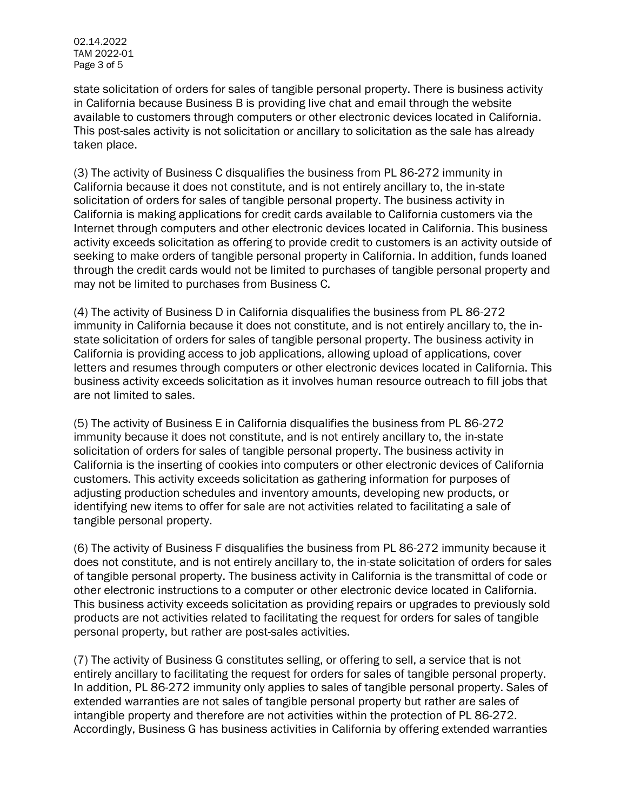02.14.2022 TAM 2022-01 Page 3 of 5

state solicitation of orders for sales of tangible personal property. There is business activity in California because Business B is providing live chat and email through the website available to customers through computers or other electronic devices located in California. This post-sales activity is not solicitation or ancillary to solicitation as the sale has already taken place.

(3) The activity of Business C disqualifies the business from PL 86-272 immunity in California because it does not constitute, and is not entirely ancillary to, the in-state solicitation of orders for sales of tangible personal property. The business activity in California is making applications for credit cards available to California customers via the Internet through computers and other electronic devices located in California. This business activity exceeds solicitation as offering to provide credit to customers is an activity outside of seeking to make orders of tangible personal property in California. In addition, funds loaned through the credit cards would not be limited to purchases of tangible personal property and may not be limited to purchases from Business C.

(4) The activity of Business D in California disqualifies the business from PL 86-272 immunity in California because it does not constitute, and is not entirely ancillary to, the instate solicitation of orders for sales of tangible personal property. The business activity in California is providing access to job applications, allowing upload of applications, cover letters and resumes through computers or other electronic devices located in California. This business activity exceeds solicitation as it involves human resource outreach to fill jobs that are not limited to sales.

(5) The activity of Business E in California disqualifies the business from PL 86-272 immunity because it does not constitute, and is not entirely ancillary to, the in-state solicitation of orders for sales of tangible personal property. The business activity in California is the inserting of cookies into computers or other electronic devices of California customers. This activity exceeds solicitation as gathering information for purposes of adjusting production schedules and inventory amounts, developing new products, or identifying new items to offer for sale are not activities related to facilitating a sale of tangible personal property.

(6) The activity of Business F disqualifies the business from PL 86-272 immunity because it does not constitute, and is not entirely ancillary to, the in-state solicitation of orders for sales of tangible personal property. The business activity in California is the transmittal of code or other electronic instructions to a computer or other electronic device located in California. This business activity exceeds solicitation as providing repairs or upgrades to previously sold products are not activities related to facilitating the request for orders for sales of tangible personal property, but rather are post-sales activities.

(7) The activity of Business G constitutes selling, or offering to sell, a service that is not entirely ancillary to facilitating the request for orders for sales of tangible personal property. In addition, PL 86-272 immunity only applies to sales of tangible personal property. Sales of extended warranties are not sales of tangible personal property but rather are sales of intangible property and therefore are not activities within the protection of PL 86-272. Accordingly, Business G has business activities in California by offering extended warranties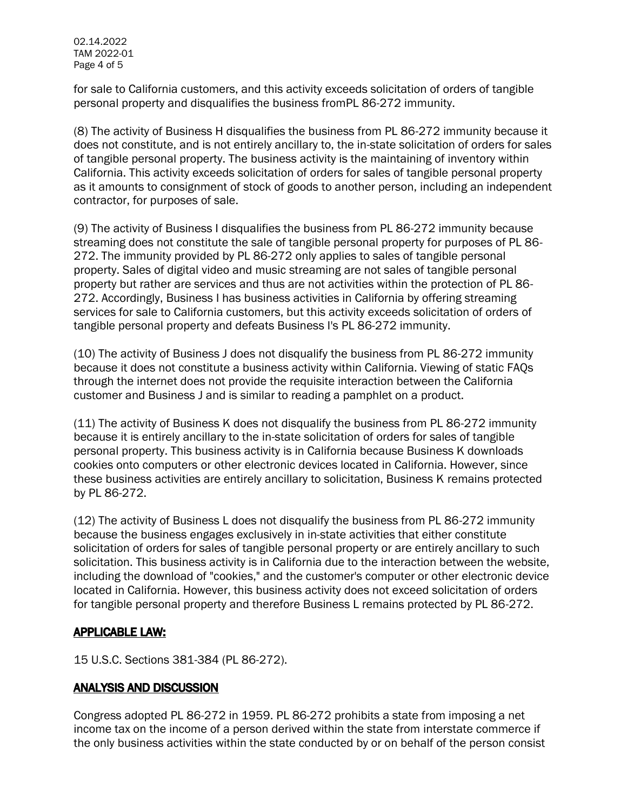for sale to California customers, and this activity exceeds solicitation of orders of tangible personal property and disqualifies the business fromPL 86-272 immunity.

(8) The activity of Business H disqualifies the business from PL 86-272 immunity because it does not constitute, and is not entirely ancillary to, the in-state solicitation of orders for sales of tangible personal property. The business activity is the maintaining of inventory within California. This activity exceeds solicitation of orders for sales of tangible personal property as it amounts to consignment of stock of goods to another person, including an independent contractor, for purposes of sale.

(9) The activity of Business I disqualifies the business from PL 86-272 immunity because streaming does not constitute the sale of tangible personal property for purposes of PL 86- 272. The immunity provided by PL 86-272 only applies to sales of tangible personal property. Sales of digital video and music streaming are not sales of tangible personal property but rather are services and thus are not activities within the protection of PL 86- 272. Accordingly, Business I has business activities in California by offering streaming services for sale to California customers, but this activity exceeds solicitation of orders of tangible personal property and defeats Business I's PL 86-272 immunity.

(10) The activity of Business J does not disqualify the business from PL 86-272 immunity because it does not constitute a business activity within California. Viewing of static FAQs through the internet does not provide the requisite interaction between the California customer and Business J and is similar to reading a pamphlet on a product.

(11) The activity of Business K does not disqualify the business from PL 86-272 immunity because it is entirely ancillary to the in-state solicitation of orders for sales of tangible personal property. This business activity is in California because Business K downloads cookies onto computers or other electronic devices located in California. However, since these business activities are entirely ancillary to solicitation, Business K remains protected by PL 86-272.

(12) The activity of Business L does not disqualify the business from PL 86-272 immunity because the business engages exclusively in in-state activities that either constitute solicitation of orders for sales of tangible personal property or are entirely ancillary to such solicitation. This business activity is in California due to the interaction between the website, including the download of "cookies," and the customer's computer or other electronic device located in California. However, this business activity does not exceed solicitation of orders for tangible personal property and therefore Business L remains protected by PL 86-272.

## APPLICABLE LAW:

15 U.S.C. Sections 381-384 (PL 86-272).

## ANALYSIS AND DISCUSSION

Congress adopted PL 86-272 in 1959. PL 86-272 prohibits a state from imposing a net income tax on the income of a person derived within the state from interstate commerce if the only business activities within the state conducted by or on behalf of the person consist